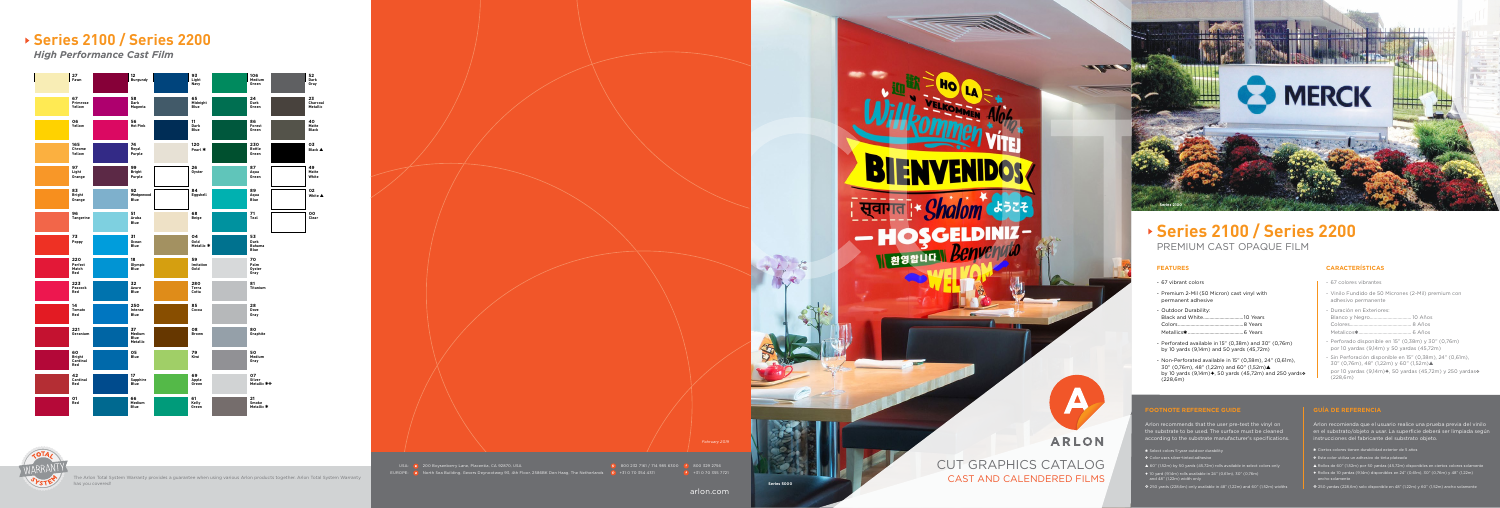# **Series 2100 / Series 2200**

*High Performance Cast Film*

The Arlon Total System Warranty provides a guarantee when using various Arlon products together. Arlon Total System Warranty has you covered!

USA: a 200 Boysenberry Lane, Placentia, CA 92870, USA 800 800 800 800 800 800 232 7161 / 714 985 6300 **800 329 2756** EUROPE: **North Sea Building, Gevers Deynootweg 93, 4th Floor, 2586BK Den Haag, The Netherlands + 0 +31 0 70 354 4311 +31 0 70 355 7721** 







arlon.com

- 
- 
- 
- 
- 

- 
- 
- 
- 
- 

- 
- 
- 
- 
- 

- 
- 
- 
- 
-